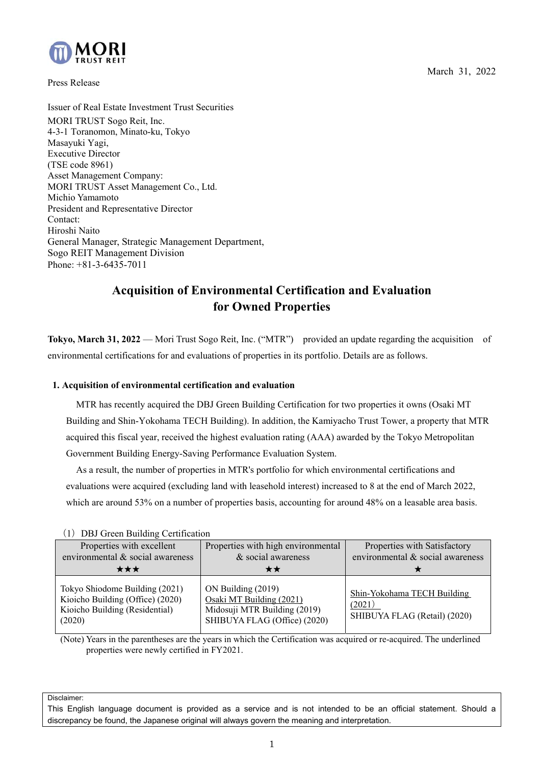March 31, 2022



Press Release

Issuer of Real Estate Investment Trust Securities MORI TRUST Sogo Reit, Inc. 4-3-1 Toranomon, Minato-ku, Tokyo Masayuki Yagi, Executive Director (TSE code 8961) Asset Management Company: MORI TRUST Asset Management Co., Ltd. Michio Yamamoto President and Representative Director Contact: Hiroshi Naito General Manager, Strategic Management Department, Sogo REIT Management Division Phone: +81-3-6435-7011

# **Acquisition of Environmental Certification and Evaluation for Owned Properties**

**Tokyo, March 31, 2022** — Mori Trust Sogo Reit, Inc. ("MTR") provided an update regarding the acquisition of environmental certifications for and evaluations of properties in its portfolio. Details are as follows.

## **1. Acquisition of environmental certification and evaluation**

MTR has recently acquired the DBJ Green Building Certification for two properties it owns (Osaki MT Building and Shin-Yokohama TECH Building). In addition, the Kamiyacho Trust Tower, a property that MTR acquired this fiscal year, received the highest evaluation rating (AAA) awarded by the Tokyo Metropolitan Government Building Energy-Saving Performance Evaluation System.

As a result, the number of properties in MTR's portfolio for which environmental certifications and evaluations were acquired (excluding land with leasehold interest) increased to 8 at the end of March 2022, which are around 53% on a number of properties basis, accounting for around 48% on a leasable area basis.

| $(1)$ DD, $0.001$ D and $1.001$ C and $1.000$                                                                  |                                                                                                                |                                                                       |  |
|----------------------------------------------------------------------------------------------------------------|----------------------------------------------------------------------------------------------------------------|-----------------------------------------------------------------------|--|
| Properties with excellent<br>environmental & social awareness                                                  | Properties with high environmental<br>& social awareness                                                       | Properties with Satisfactory<br>environmental & social awareness      |  |
| ★★★                                                                                                            |                                                                                                                |                                                                       |  |
| Tokyo Shiodome Building (2021)<br>Kioicho Building (Office) (2020)<br>Kioicho Building (Residential)<br>(2020) | ON Building (2019)<br>Osaki MT Building (2021)<br>Midosuji MTR Building (2019)<br>SHIBUYA FLAG (Office) (2020) | Shin-Yokohama TECH Building<br>(2021)<br>SHIBUYA FLAG (Retail) (2020) |  |

(1) DBI Green Building Certification

(Note) Years in the parentheses are the years in which the Certification was acquired or re-acquired. The underlined properties were newly certified in FY2021.

Disclaimer:

This English language document is provided as a service and is not intended to be an official statement. Should a discrepancy be found, the Japanese original will always govern the meaning and interpretation.